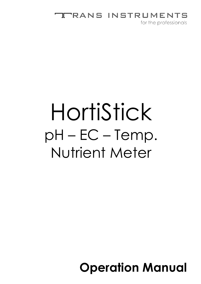#### **RANS INSTRUMENTS** Ш

for the professionals

# HortiStick pH – EC – Temp. Nutrient Meter

## **Operation Manual**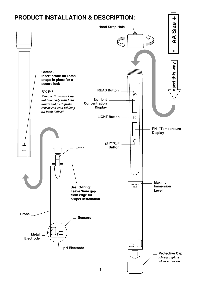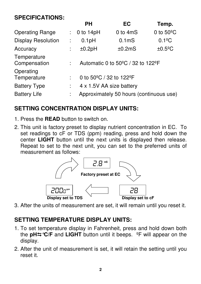#### **SPECIFICATIONS:**

|                             |    | <b>PH</b>                                                | <b>EC</b>          | Temp.                 |
|-----------------------------|----|----------------------------------------------------------|--------------------|-----------------------|
| <b>Operating Range</b>      | t. | 0 to $14pH$                                              | 0 to 4mS           | 0 to $50^{\circ}$ C   |
| <b>Display Resolution</b>   |    | 0.1 <sub>p</sub> H                                       | 0.1 <sub>m</sub> S | $0.1$ <sup>o</sup> C  |
| Accuracy                    | İ. | ±0.2pH                                                   | ±0.2mS             | $±0.5$ <sup>o</sup> C |
| Temperature<br>Compensation |    | Automatic 0 to $50^{\circ}$ C / 32 to 122 <sup>o</sup> F |                    |                       |
| Operating<br>Temperature    |    | 0 to $50^{\circ}$ C / 32 to 122°F                        |                    |                       |
| <b>Battery Type</b>         |    | 4 x 1.5V AA size battery                                 |                    |                       |
| <b>Battery Life</b>         |    | Approximately 50 hours (continuous use)                  |                    |                       |

### **SETTING CONCENTRATION DISPLAY UNITS:**

- 1. Press the **READ** button to switch on.
- 2. This unit is factory preset to display nutrient concentration in EC. To set readings to cF or TDS (ppm) reading, press and hold down the center **LIGHT** button until the next units is displayed then release. Repeat to set to the next unit, you can set to the preferred units of measurement as follows:



3. After the units of measurement are set, it will remain until you reset it.

#### **SETTING TEMPERATURE DISPLAY UNITS:**

- 1. To set temperature display in Fahrenheit, press and hold down both the **pH°C/F** and **LIGHT** button until it beeps. ºF will appear on the display.
- 2. After the unit of measurement is set, it will retain the setting until you reset it.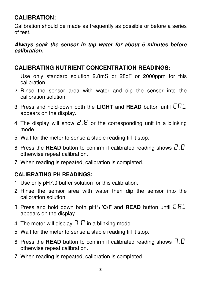#### **CALIBRATION:**

Calibration should be made as frequently as possible or before a series of test.

#### **Always soak the sensor in tap water for about 5 minutes before calibration.**

#### **CALIBRATING NUTRIENT CONCENTRATION READINGS:**

- 1. Use only standard solution 2.8mS or 28cF or 2000ppm for this calibration.
- 2. Rinse the sensor area with water and dip the sensor into the calibration solution.
- 3. Press and hold-down both the **LIGHT** and **READ** button until CAL appears on the display.
- 4. The display will show  $\vec{c}$ .  $\vec{B}$  or the corresponding unit in a blinking mode.
- 5. Wait for the meter to sense a stable reading till it stop.
- 6. Press the **READ** button to confirm if calibrated reading shows  $\vec{c} \cdot \vec{B}$ , otherwise repeat calibration.
- 7. When reading is repeated, calibration is completed.

#### **CALIBRATING PH READINGS:**

- 1. Use only pH7.0 buffer solution for this calibration.
- 2. Rinse the sensor area with water then dip the sensor into the calibration solution.
- 3. Press and hold down both **pH°C/F** and **READ** button until CAL appears on the display.
- 4. The meter will display  $7.0$  in a blinking mode.
- 5. Wait for the meter to sense a stable reading till it stop.
- 6. Press the **READ** button to confirm if calibrated reading shows  $7.0$ , otherwise repeat calibration.
- 7. When reading is repeated, calibration is completed.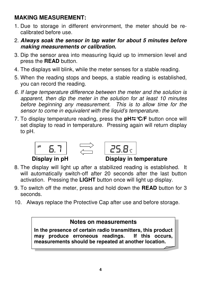#### **MAKING MEASUREMENT:**

- 1. Due to storage in different environment, the meter should be recalibrated before use.
- 2. **Always soak the sensor in tap water for about 5 minutes before making measurements or calibration.**
- 3. Dip the sensor area into measuring liquid up to immersion level and press the **READ** button.
- 4. The displays will blink, while the meter senses for a stable reading.
- 5. When the reading stops and beeps, a stable reading is established, you can record the reading.
- 6. If large temperature difference between the meter and the solution is apparent, then dip the meter in the solution for at least 10 minutes before beginning any measurement. This is to allow time for the sensor to come in equivalent with the liquid's temperature.
- 7. To display temperature reading, press the **pH°C/F** button once will set display to read in temperature. Pressing again will return display to pH.





#### **Display in pH Display in temperature**

- 8. The display will light up after a stabilized reading is established. It will automatically switch-off after 20 seconds after the last button activation. Pressing the **LIGHT** button once will light up display.
- 9. To switch off the meter, press and hold down the **READ** button for 3 seconds.
- 10. Always replace the Protective Cap after use and before storage.

#### **Notes on measurements**

**In the presence of certain radio transmitters, this product may produce erroneous readings. If this occurs, measurements should be repeated at another location.**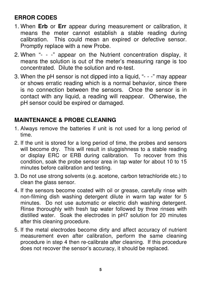#### **ERROR CODES**

- 1. When **Erb** or **Err** appear during measurement or calibration, it means the meter cannot establish a stable reading during calibration. This could mean an expired or defective sensor. Promptly replace with a new Probe.
- 2. When "- -" appear on the Nutrient concentration display, it means the solution is out of the meter's measuring range is too concentrated. Dilute the solution and re-test.
- 3. When the pH sensor is not dipped into a liquid, "- -" may appear or shows erratic reading which is a normal behavior, since there is no connection between the sensors. Once the sensor is in contact with any liquid, a reading will reappear. Otherwise, the pH sensor could be expired or damaged.

#### **MAINTENANCE & PROBE CLEANING**

- 1. Always remove the batteries if unit is not used for a long period of time.
- 2. If the unit is stored for a long period of time, the probes and sensors will become dry. This will result in sluggishness to a stable reading or display ERC or ERB during calibration. To recover from this condition, soak the probe sensor area in tap water for about 10 to 15 minutes before calibration and testing.
- 3. Do not use strong solvents (e.g. acetone, carbon tetrachloride etc.) to clean the glass sensor.
- 4. If the sensors become coated with oil or grease, carefully rinse with non-filming dish washing detergent dilute in warm tap water for 5 minutes. Do not use automatic or electric dish washing detergent. Rinse thoroughly with fresh tap water followed by three rinses with distilled water. Soak the electrodes in pH7 solution for 20 minutes after this cleaning procedure.
- 5. If the metal electrodes become dirty and affect accuracy of nutrient measurement even after calibration, perform the same cleaning procedure in step 4 then re-calibrate after cleaning. If this procedure does not recover the sensor's accuracy, it should be replaced.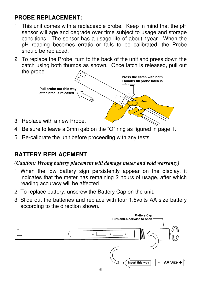#### **PROBE REPLACEMENT:**

- 1. This unit comes with a replaceable probe. Keep in mind that the pH sensor will age and degrade over time subject to usage and storage conditions. The sensor has a usage life of about 1year. When the pH reading becomes erratic or fails to be calibrated, the Probe should be replaced.
- 2. To replace the Probe, turn to the back of the unit and press down the catch using both thumbs as shown. Once latch is released, pull out the probe.



- 3. Replace with a new Probe.
- 4. Be sure to leave a 3mm gab on the "O" ring as figured in page 1.
- 5. Re-calibrate the unit before proceeding with any tests.

#### **BATTERY REPLACEMENT**

#### *(Caution: Wrong battery placement will damage meter and void warranty)*

- 1. When the low battery sign persistently appear on the display, it indicates that the meter has remaining 2 hours of usage, after which reading accuracy will be affected.
- 2. To replace battery, unscrew the Battery Cap on the unit.
- 3. Slide out the batteries and replace with four 1.5volts AA size battery according to the direction shown.